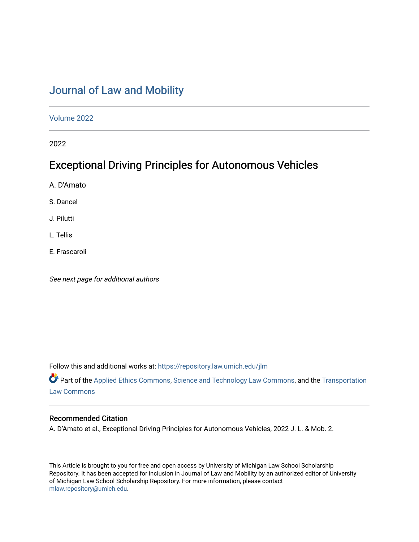# [Journal of Law and Mobility](https://repository.law.umich.edu/jlm)

[Volume 2022](https://repository.law.umich.edu/jlm/vol2022) 

2022

# Exceptional Driving Principles for Autonomous Vehicles

A. D'Amato

S. Dancel

J. Pilutti

L. Tellis

E. Frascaroli

See next page for additional authors

Follow this and additional works at: [https://repository.law.umich.edu/jlm](https://repository.law.umich.edu/jlm?utm_source=repository.law.umich.edu%2Fjlm%2Fvol2022%2Fiss1%2F2&utm_medium=PDF&utm_campaign=PDFCoverPages) 

Part of the [Applied Ethics Commons](https://network.bepress.com/hgg/discipline/1392?utm_source=repository.law.umich.edu%2Fjlm%2Fvol2022%2Fiss1%2F2&utm_medium=PDF&utm_campaign=PDFCoverPages), [Science and Technology Law Commons,](https://network.bepress.com/hgg/discipline/875?utm_source=repository.law.umich.edu%2Fjlm%2Fvol2022%2Fiss1%2F2&utm_medium=PDF&utm_campaign=PDFCoverPages) and the [Transportation](https://network.bepress.com/hgg/discipline/885?utm_source=repository.law.umich.edu%2Fjlm%2Fvol2022%2Fiss1%2F2&utm_medium=PDF&utm_campaign=PDFCoverPages) [Law Commons](https://network.bepress.com/hgg/discipline/885?utm_source=repository.law.umich.edu%2Fjlm%2Fvol2022%2Fiss1%2F2&utm_medium=PDF&utm_campaign=PDFCoverPages) 

## Recommended Citation

A. D'Amato et al., Exceptional Driving Principles for Autonomous Vehicles, 2022 J. L. & Mob. 2.

This Article is brought to you for free and open access by University of Michigan Law School Scholarship Repository. It has been accepted for inclusion in Journal of Law and Mobility by an authorized editor of University of Michigan Law School Scholarship Repository. For more information, please contact [mlaw.repository@umich.edu.](mailto:mlaw.repository@umich.edu)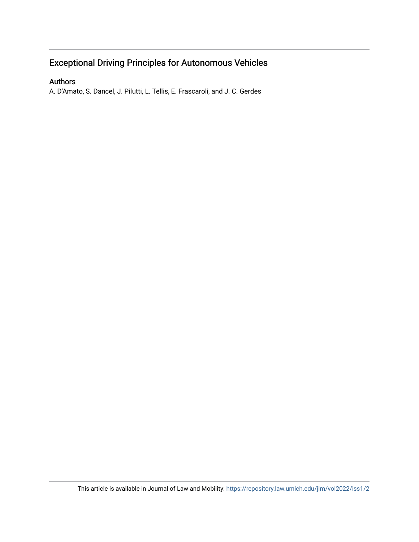## Exceptional Driving Principles for Autonomous Vehicles

## Authors

A. D'Amato, S. Dancel, J. Pilutti, L. Tellis, E. Frascaroli, and J. C. Gerdes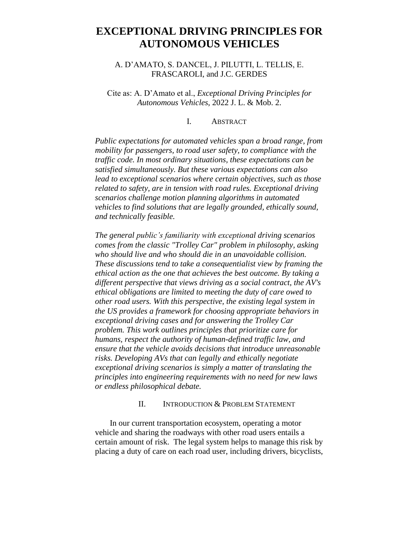## **EXCEPTIONAL DRIVING PRINCIPLES FOR AUTONOMOUS VEHICLES**

## A. D'AMATO, S. DANCEL, J. PILUTTI, L. TELLIS, E. FRASCAROLI, and J.C. GERDES

Cite as: A. D'Amato et al., *Exceptional Driving Principles for Autonomous Vehicles*, 2022 J. L. & Mob. 2.

#### I. ABSTRACT

*Public expectations for automated vehicles span a broad range, from mobility for passengers, to road user safety, to compliance with the traffic code. In most ordinary situations, these expectations can be satisfied simultaneously. But these various expectations can also lead to exceptional scenarios where certain objectives, such as those related to safety, are in tension with road rules. Exceptional driving scenarios challenge motion planning algorithms in automated vehicles to find solutions that are legally grounded, ethically sound, and technically feasible.*

*The general public's familiarity with exceptional driving scenarios comes from the classic "Trolley Car" problem in philosophy, asking who should live and who should die in an unavoidable collision. These discussions tend to take a consequentialist view by framing the ethical action as the one that achieves the best outcome. By taking a different perspective that views driving as a social contract, the AV's ethical obligations are limited to meeting the duty of care owed to other road users. With this perspective, the existing legal system in the US provides a framework for choosing appropriate behaviors in exceptional driving cases and for answering the Trolley Car problem. This work outlines principles that prioritize care for humans, respect the authority of human-defined traffic law, and ensure that the vehicle avoids decisions that introduce unreasonable risks. Developing AVs that can legally and ethically negotiate exceptional driving scenarios is simply a matter of translating the principles into engineering requirements with no need for new laws or endless philosophical debate.*

## II. INTRODUCTION & PROBLEM STATEMENT

In our current transportation ecosystem, operating a motor vehicle and sharing the roadways with other road users entails a certain amount of risk. The legal system helps to manage this risk by placing a duty of care on each road user, including drivers, bicyclists,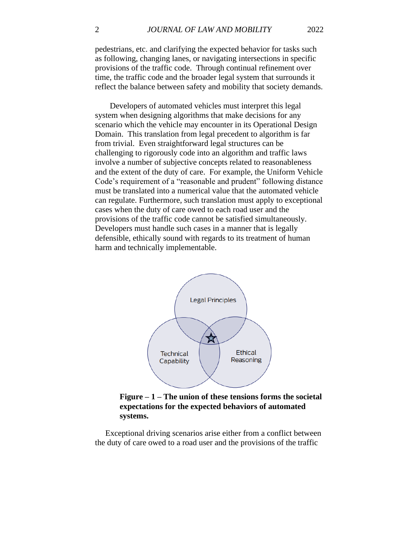pedestrians, etc. and clarifying the expected behavior for tasks such as following, changing lanes, or navigating intersections in specific provisions of the traffic code. Through continual refinement over time, the traffic code and the broader legal system that surrounds it reflect the balance between safety and mobility that society demands.

Developers of automated vehicles must interpret this legal system when designing algorithms that make decisions for any scenario which the vehicle may encounter in its Operational Design Domain. This translation from legal precedent to algorithm is far from trivial. Even straightforward legal structures can be challenging to rigorously code into an algorithm and traffic laws involve a number of subjective concepts related to reasonableness and the extent of the duty of care. For example, the Uniform Vehicle Code's requirement of a "reasonable and prudent" following distance must be translated into a numerical value that the automated vehicle can regulate. Furthermore, such translation must apply to exceptional cases when the duty of care owed to each road user and the provisions of the traffic code cannot be satisfied simultaneously. Developers must handle such cases in a manner that is legally defensible, ethically sound with regards to its treatment of human harm and technically implementable.



**Figure – 1 – The union of these tensions forms the societal expectations for the expected behaviors of automated systems.**

 Exceptional driving scenarios arise either from a conflict between the duty of care owed to a road user and the provisions of the traffic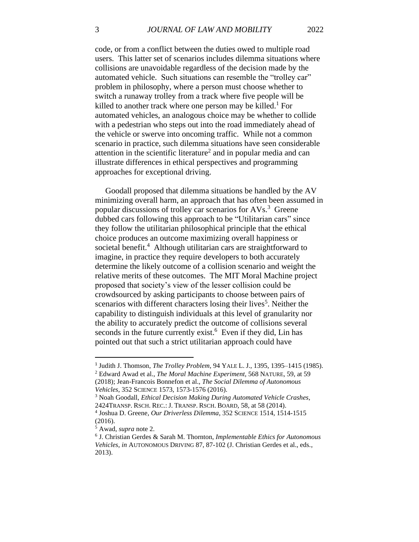<span id="page-4-2"></span>code, or from a conflict between the duties owed to multiple road users. This latter set of scenarios includes dilemma situations where collisions are unavoidable regardless of the decision made by the automated vehicle. Such situations can resemble the "trolley car" problem in philosophy, where a person must choose whether to switch a runaway trolley from a track where five people will be killed to another track where one person may be killed.<sup>1</sup> For automated vehicles, an analogous choice may be whether to collide with a pedestrian who steps out into the road immediately ahead of the vehicle or swerve into oncoming traffic. While not a common scenario in practice, such dilemma situations have seen considerable attention in the scientific literature<sup>2</sup> and in popular media and can illustrate differences in ethical perspectives and programming approaches for exceptional driving.

<span id="page-4-1"></span><span id="page-4-0"></span> Goodall proposed that dilemma situations be handled by the AV minimizing overall harm, an approach that has often been assumed in popular discussions of trolley car scenarios for AVs.<sup>3</sup> Greene dubbed cars following this approach to be "Utilitarian cars" since they follow the utilitarian philosophical principle that the ethical choice produces an outcome maximizing overall happiness or societal benefit.<sup>4</sup> Although utilitarian cars are straightforward to imagine, in practice they require developers to both accurately determine the likely outcome of a collision scenario and weight the relative merits of these outcomes. The MIT Moral Machine project proposed that society's view of the lesser collision could be crowdsourced by asking participants to choose between pairs of scenarios with different characters losing their lives<sup>5</sup>. Neither the capability to distinguish individuals at this level of granularity nor the ability to accurately predict the outcome of collisions several seconds in the future currently exist.<sup>6</sup> Even if they did, Lin has pointed out that such a strict utilitarian approach could have

<sup>1</sup> Judith J. Thomson, *The Trolley Problem*, 94 YALE L. J.*,* 1395, 1395–1415 (1985).

<sup>2</sup> Edward Awad et al.*, The Moral Machine Experiment*, 568 NATURE, 59, at 59 (2018); Jean-Francois Bonnefon et al., *The Social Dilemma of Autonomous Vehicles*, 352 SCIENCE 1573, 1573-1576 (2016).

<sup>3</sup> Noah Goodall, *Ethical Decision Making During Automated Vehicle Crashes*, 2424TRANSP. RSCH. REC.: J. TRANSP. RSCH. BOARD*,* 58, at 58 (2014).

<sup>4</sup> Joshua D. Greene, *Our Driverless Dilemma*, 352 SCIENCE 1514, 1514-1515 (2016).

<sup>5</sup> Awad, *supra* note [2.](#page-4-0)

<sup>6</sup> J. Christian Gerdes & Sarah M. Thornton, *Implementable Ethics for Autonomous Vehicles*, *in* AUTONOMOUS DRIVING 87, 87-102 (J. Christian Gerdes et al., eds., 2013).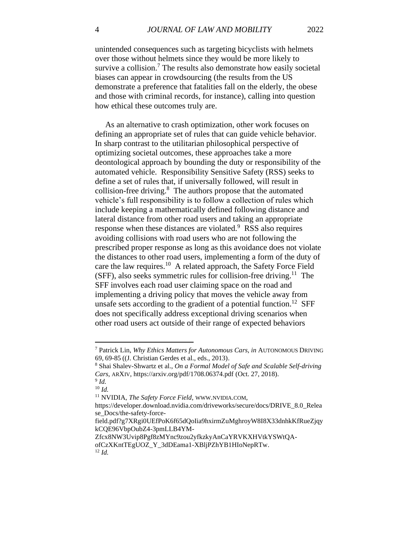unintended consequences such as targeting bicyclists with helmets over those without helmets since they would be more likely to survive a collision.<sup>7</sup> The results also demonstrate how easily societal biases can appear in crowdsourcing (the results from the US demonstrate a preference that fatalities fall on the elderly, the obese and those with criminal records, for instance), calling into question how ethical these outcomes truly are.

<span id="page-5-0"></span> As an alternative to crash optimization, other work focuses on defining an appropriate set of rules that can guide vehicle behavior. In sharp contrast to the utilitarian philosophical perspective of optimizing societal outcomes, these approaches take a more deontological approach by bounding the duty or responsibility of the automated vehicle. Responsibility Sensitive Safety (RSS) seeks to define a set of rules that, if universally followed, will result in collision-free driving. 8 The authors propose that the automated vehicle's full responsibility is to follow a collection of rules which include keeping a mathematically defined following distance and lateral distance from other road users and taking an appropriate response when these distances are violated.<sup>9</sup> RSS also requires avoiding collisions with road users who are not following the prescribed proper response as long as this avoidance does not violate the distances to other road users, implementing a form of the duty of care the law requires.<sup>10</sup> A related approach, the Safety Force Field (SFF), also seeks symmetric rules for collision-free driving.<sup>11</sup> The SFF involves each road user claiming space on the road and implementing a driving policy that moves the vehicle away from unsafe sets according to the gradient of a potential function.<sup>12</sup> SFF does not specifically address exceptional driving scenarios when other road users act outside of their range of expected behaviors

<span id="page-5-1"></span><sup>7</sup> Patrick Lin, *Why Ethics Matters for Autonomous Cars*, *in* AUTONOMOUS DRIVING 69, 69-85 ((J. Christian Gerdes et al., eds., 2013).

<sup>8</sup> Shai Shalev-Shwartz et al., *On a Formal Model of Safe and Scalable Self-driving Cars*, ARXIV, https://arxiv.org/pdf/1708.06374.pdf (Oct. 27, 2018). 9 *Id.*

<sup>10</sup> *Id.*

<sup>11</sup> NVIDIA, *The Safety Force Field*, WWW.NVIDIA.COM,

https://developer.download.nvidia.com/driveworks/secure/docs/DRIVE\_8.0\_Relea se\_Docs/the-safety-force-

field.pdf?g7XRgi0UEfPoK6f65dQoIia9hxirmZuMghroyW8I8X33dnhkKfRueZjqy kCQE96VbpOubZ4-3pmLLB4YM-

Zfcx8NW3Uvip8Pgf8zMYnc9zou2yfkzkyAnCaYRVKXHVtkYSWtQAofCzXKntTEgUOZ\_Y\_3dDEama1-XBljPZhYB1HIoNepRTw. <sup>12</sup> *Id.*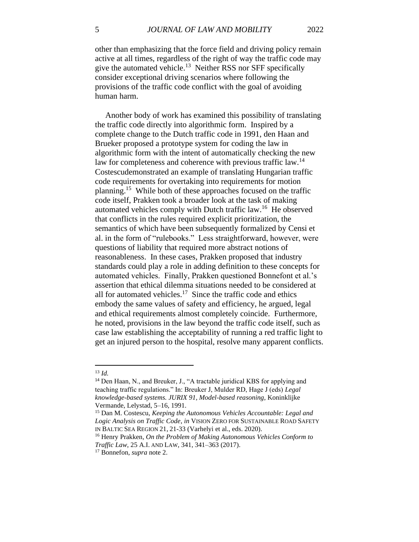other than emphasizing that the force field and driving policy remain active at all times, regardless of the right of way the traffic code may give the automated vehicle.<sup>13</sup> Neither RSS nor SFF specifically consider exceptional driving scenarios where following the provisions of the traffic code conflict with the goal of avoiding human harm.

 Another body of work has examined this possibility of translating the traffic code directly into algorithmic form. Inspired by a complete change to the Dutch traffic code in 1991, den Haan and Brueker proposed a prototype system for coding the law in algorithmic form with the intent of automatically checking the new law for completeness and coherence with previous traffic law.<sup>14</sup> Costescudemonstrated an example of translating Hungarian traffic code requirements for overtaking into requirements for motion planning.<sup>15</sup> While both of these approaches focused on the traffic code itself, Prakken took a broader look at the task of making automated vehicles comply with Dutch traffic law.<sup>16</sup> He observed that conflicts in the rules required explicit prioritization, the semantics of which have been subsequently formalized by Censi et al. in the form of "rulebooks." Less straightforward, however, were questions of liability that required more abstract notions of reasonableness. In these cases, Prakken proposed that industry standards could play a role in adding definition to these concepts for automated vehicles. Finally, Prakken questioned Bonnefont et al.'s assertion that ethical dilemma situations needed to be considered at all for automated vehicles.<sup>17</sup> Since the traffic code and ethics embody the same values of safety and efficiency, he argued, legal and ethical requirements almost completely coincide. Furthermore, he noted, provisions in the law beyond the traffic code itself, such as case law establishing the acceptability of running a red traffic light to get an injured person to the hospital, resolve many apparent conflicts.

<sup>13</sup> *Id.*

<sup>14</sup> Den Haan, N., and Breuker, J., "A tractable juridical KBS for applying and teaching traffic regulations." In: Breuker J, Mulder RD, Hage J (eds) *Legal knowledge-based systems. JURIX 91, Model-based reasoning*, Koninklijke Vermande, Lelystad, 5–16, 1991.

<sup>15</sup> Dan M. Costescu, *Keeping the Autonomous Vehicles Accountable: Legal and Logic Analysis on Traffic Code*, *in* VISION ZERO FOR SUSTAINABLE ROAD SAFETY IN BALTIC SEA REGION 21, 21-33 (Varhelyi et al., eds. 2020).

<sup>16</sup> Henry Prakken, *On the Problem of Making Autonomous Vehicles Conform to Traffic Law*, 25 A.I. AND LAW, 341, 341–363 (2017).

<sup>17</sup> Bonnefon, *supra* note [2.](#page-4-0)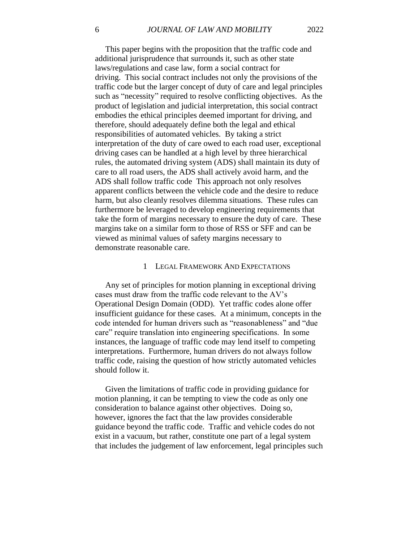This paper begins with the proposition that the traffic code and additional jurisprudence that surrounds it, such as other state laws/regulations and case law, form a social contract for driving. This social contract includes not only the provisions of the traffic code but the larger concept of duty of care and legal principles such as "necessity" required to resolve conflicting objectives. As the product of legislation and judicial interpretation, this social contract embodies the ethical principles deemed important for driving, and therefore, should adequately define both the legal and ethical responsibilities of automated vehicles. By taking a strict

interpretation of the duty of care owed to each road user, exceptional driving cases can be handled at a high level by three hierarchical rules, the automated driving system (ADS) shall maintain its duty of care to all road users, the ADS shall actively avoid harm, and the ADS shall follow traffic code This approach not only resolves apparent conflicts between the vehicle code and the desire to reduce harm, but also cleanly resolves dilemma situations. These rules can furthermore be leveraged to develop engineering requirements that take the form of margins necessary to ensure the duty of care. These margins take on a similar form to those of RSS or SFF and can be viewed as minimal values of safety margins necessary to demonstrate reasonable care.

#### 1 LEGAL FRAMEWORK AND EXPECTATIONS

 Any set of principles for motion planning in exceptional driving cases must draw from the traffic code relevant to the AV's Operational Design Domain (ODD). Yet traffic codes alone offer insufficient guidance for these cases. At a minimum, concepts in the code intended for human drivers such as "reasonableness" and "due care" require translation into engineering specifications. In some instances, the language of traffic code may lend itself to competing interpretations. Furthermore, human drivers do not always follow traffic code, raising the question of how strictly automated vehicles should follow it.

 Given the limitations of traffic code in providing guidance for motion planning, it can be tempting to view the code as only one consideration to balance against other objectives. Doing so, however, ignores the fact that the law provides considerable guidance beyond the traffic code. Traffic and vehicle codes do not exist in a vacuum, but rather, constitute one part of a legal system that includes the judgement of law enforcement, legal principles such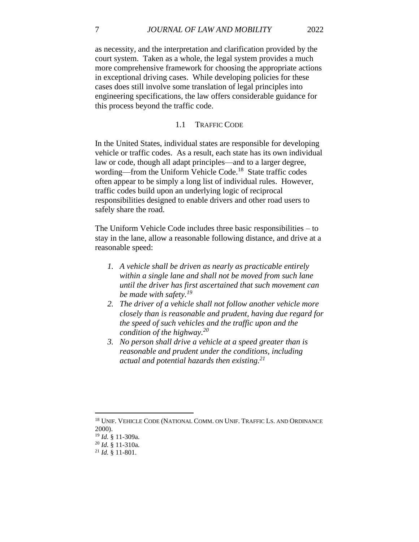as necessity, and the interpretation and clarification provided by the court system. Taken as a whole, the legal system provides a much more comprehensive framework for choosing the appropriate actions in exceptional driving cases. While developing policies for these cases does still involve some translation of legal principles into engineering specifications, the law offers considerable guidance for this process beyond the traffic code.

### 1.1 TRAFFIC CODE

In the United States, individual states are responsible for developing vehicle or traffic codes. As a result, each state has its own individual law or code, though all adapt principles—and to a larger degree, wording—from the Uniform Vehicle Code.<sup>18</sup> State traffic codes often appear to be simply a long list of individual rules. However, traffic codes build upon an underlying logic of reciprocal responsibilities designed to enable drivers and other road users to safely share the road.

The Uniform Vehicle Code includes three basic responsibilities – to stay in the lane, allow a reasonable following distance, and drive at a reasonable speed:

- *1. A vehicle shall be driven as nearly as practicable entirely within a single lane and shall not be moved from such lane until the driver has first ascertained that such movement can be made with safety.<sup>19</sup>*
- *2. The driver of a vehicle shall not follow another vehicle more closely than is reasonable and prudent, having due regard for the speed of such vehicles and the traffic upon and the condition of the highway.<sup>20</sup>*
- *3. No person shall drive a vehicle at a speed greater than is reasonable and prudent under the conditions, including actual and potential hazards then existing.<sup>21</sup>*

<sup>&</sup>lt;sup>18</sup> UNIF. VEHICLE CODE (NATIONAL COMM. ON UNIF. TRAFFIC LS. AND ORDINANCE 2000).

<sup>19</sup> *Id.* § 11-309a.

<sup>20</sup> *Id.* § 11-310a.

<sup>21</sup> *Id.* § 11-801.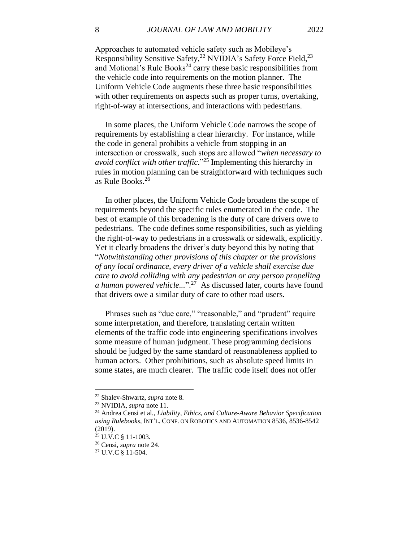<span id="page-9-0"></span>Approaches to automated vehicle safety such as Mobileye's Responsibility Sensitive Safety,<sup>22</sup> NVIDIA's Safety Force Field,<sup>23</sup> and Motional's Rule Books<sup>24</sup> carry these basic responsibilities from the vehicle code into requirements on the motion planner. The Uniform Vehicle Code augments these three basic responsibilities with other requirements on aspects such as proper turns, overtaking, right-of-way at intersections, and interactions with pedestrians.

<span id="page-9-1"></span> In some places, the Uniform Vehicle Code narrows the scope of requirements by establishing a clear hierarchy. For instance, while the code in general prohibits a vehicle from stopping in an intersection or crosswalk, such stops are allowed "*when necessary to avoid conflict with other traffic*." <sup>25</sup> Implementing this hierarchy in rules in motion planning can be straightforward with techniques such as Rule Books. 26

 In other places, the Uniform Vehicle Code broadens the scope of requirements beyond the specific rules enumerated in the code. The best of example of this broadening is the duty of care drivers owe to pedestrians. The code defines some responsibilities, such as yielding the right-of-way to pedestrians in a crosswalk or sidewalk, explicitly. Yet it clearly broadens the driver's duty beyond this by noting that "*Notwithstanding other provisions of this chapter or the provisions of any local ordinance, every driver of a vehicle shall exercise due care to avoid colliding with any pedestrian or any person propelling a human powered vehicle...*". 27 As discussed later, courts have found that drivers owe a similar duty of care to other road users.

 Phrases such as "due care," "reasonable," and "prudent" require some interpretation, and therefore, translating certain written elements of the traffic code into engineering specifications involves some measure of human judgment. These programming decisions should be judged by the same standard of reasonableness applied to human actors. Other prohibitions, such as absolute speed limits in some states, are much clearer. The traffic code itself does not offer

<sup>22</sup> Shalev-Shwartz, *supra* note [8.](#page-5-0)

<sup>23</sup> NVIDIA, *supra* not[e 11.](#page-5-1)

<sup>24</sup> Andrea Censi et al., *Liability, Ethics, and Culture-Aware Behavior Specification using Rulebooks*, INT'L. CONF. ON ROBOTICS AND AUTOMATION 8536, 8536-8542 (2019).

<sup>25</sup> U.V.C § 11-1003.

<sup>26</sup> Censi, *supra* not[e 24.](#page-9-0)

<sup>27</sup> U.V.C § 11-504.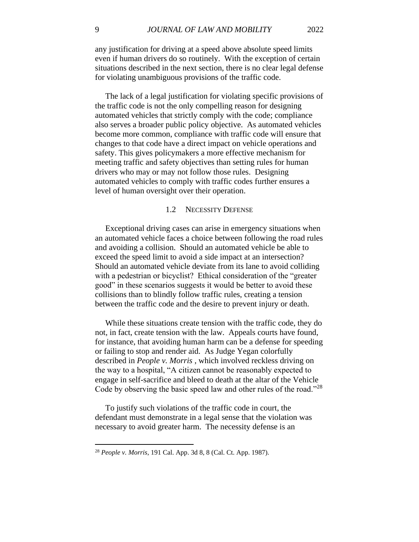any justification for driving at a speed above absolute speed limits even if human drivers do so routinely. With the exception of certain situations described in the next section, there is no clear legal defense for violating unambiguous provisions of the traffic code.

 The lack of a legal justification for violating specific provisions of the traffic code is not the only compelling reason for designing automated vehicles that strictly comply with the code; compliance also serves a broader public policy objective. As automated vehicles become more common, compliance with traffic code will ensure that changes to that code have a direct impact on vehicle operations and safety. This gives policymakers a more effective mechanism for meeting traffic and safety objectives than setting rules for human drivers who may or may not follow those rules. Designing automated vehicles to comply with traffic codes further ensures a level of human oversight over their operation.

#### 1.2 NECESSITY DEFENSE

 Exceptional driving cases can arise in emergency situations when an automated vehicle faces a choice between following the road rules and avoiding a collision. Should an automated vehicle be able to exceed the speed limit to avoid a side impact at an intersection? Should an automated vehicle deviate from its lane to avoid colliding with a pedestrian or bicyclist? Ethical consideration of the "greater good" in these scenarios suggests it would be better to avoid these collisions than to blindly follow traffic rules, creating a tension between the traffic code and the desire to prevent injury or death.

 While these situations create tension with the traffic code, they do not, in fact, create tension with the law. Appeals courts have found, for instance, that avoiding human harm can be a defense for speeding or failing to stop and render aid. As Judge Yegan colorfully described in *People v. Morris* , which involved reckless driving on the way to a hospital, "A citizen cannot be reasonably expected to engage in self-sacrifice and bleed to death at the altar of the Vehicle Code by observing the basic speed law and other rules of the road."<sup>28</sup>

 To justify such violations of the traffic code in court, the defendant must demonstrate in a legal sense that the violation was necessary to avoid greater harm. The necessity defense is an

<sup>28</sup> *People v. Morris*, 191 Cal. App. 3d 8, 8 (Cal. Ct. App. 1987).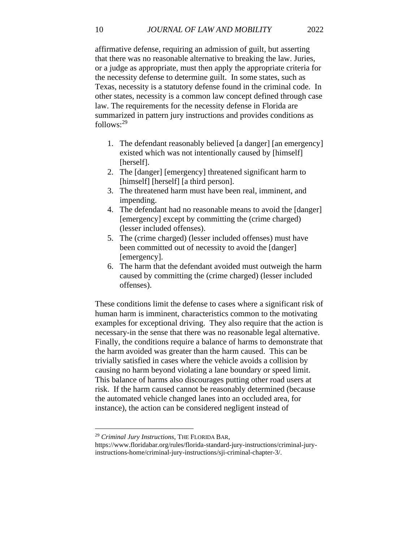affirmative defense, requiring an admission of guilt, but asserting that there was no reasonable alternative to breaking the law. Juries, or a judge as appropriate, must then apply the appropriate criteria for the necessity defense to determine guilt. In some states, such as Texas, necessity is a statutory defense found in the criminal code. In other states, necessity is a common law concept defined through case law. The requirements for the necessity defense in Florida are summarized in pattern jury instructions and provides conditions as follows: 29

- 1. The defendant reasonably believed [a danger] [an emergency] existed which was not intentionally caused by [himself] [herself].
- 2. The [danger] [emergency] threatened significant harm to [himself] [herself] [a third person].
- 3. The threatened harm must have been real, imminent, and impending.
- 4. The defendant had no reasonable means to avoid the [danger] [emergency] except by committing the (crime charged) (lesser included offenses).
- 5. The (crime charged) (lesser included offenses) must have been committed out of necessity to avoid the [danger] [emergency].
- 6. The harm that the defendant avoided must outweigh the harm caused by committing the (crime charged) (lesser included offenses).

These conditions limit the defense to cases where a significant risk of human harm is imminent, characteristics common to the motivating examples for exceptional driving. They also require that the action is necessary-in the sense that there was no reasonable legal alternative. Finally, the conditions require a balance of harms to demonstrate that the harm avoided was greater than the harm caused. This can be trivially satisfied in cases where the vehicle avoids a collision by causing no harm beyond violating a lane boundary or speed limit. This balance of harms also discourages putting other road users at risk. If the harm caused cannot be reasonably determined (because the automated vehicle changed lanes into an occluded area, for instance), the action can be considered negligent instead of

<sup>29</sup> *Criminal Jury Instructions*, THE FLORIDA BAR,

https://www.floridabar.org/rules/florida-standard-jury-instructions/criminal-juryinstructions-home/criminal-jury-instructions/sji-criminal-chapter-3/.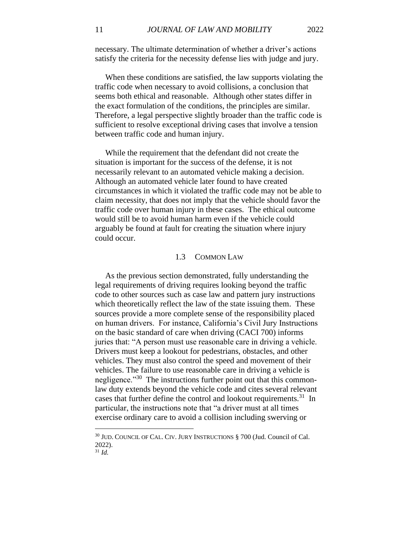necessary. The ultimate determination of whether a driver's actions satisfy the criteria for the necessity defense lies with judge and jury.

 When these conditions are satisfied, the law supports violating the traffic code when necessary to avoid collisions, a conclusion that seems both ethical and reasonable. Although other states differ in the exact formulation of the conditions, the principles are similar. Therefore, a legal perspective slightly broader than the traffic code is sufficient to resolve exceptional driving cases that involve a tension between traffic code and human injury.

 While the requirement that the defendant did not create the situation is important for the success of the defense, it is not necessarily relevant to an automated vehicle making a decision. Although an automated vehicle later found to have created circumstances in which it violated the traffic code may not be able to claim necessity, that does not imply that the vehicle should favor the traffic code over human injury in these cases. The ethical outcome would still be to avoid human harm even if the vehicle could arguably be found at fault for creating the situation where injury could occur.

#### 1.3 COMMON LAW

 As the previous section demonstrated, fully understanding the legal requirements of driving requires looking beyond the traffic code to other sources such as case law and pattern jury instructions which theoretically reflect the law of the state issuing them. These sources provide a more complete sense of the responsibility placed on human drivers. For instance, California's Civil Jury Instructions on the basic standard of care when driving (CACI 700) informs juries that: "A person must use reasonable care in driving a vehicle. Drivers must keep a lookout for pedestrians, obstacles, and other vehicles. They must also control the speed and movement of their vehicles. The failure to use reasonable care in driving a vehicle is negligence."<sup>30</sup> The instructions further point out that this commonlaw duty extends beyond the vehicle code and cites several relevant cases that further define the control and lookout requirements.<sup>31</sup> In particular, the instructions note that "a driver must at all times exercise ordinary care to avoid a collision including swerving or

<sup>30</sup> JUD. COUNCIL OF CAL. CIV. JURY INSTRUCTIONS § 700 (Jud. Council of Cal. 2022).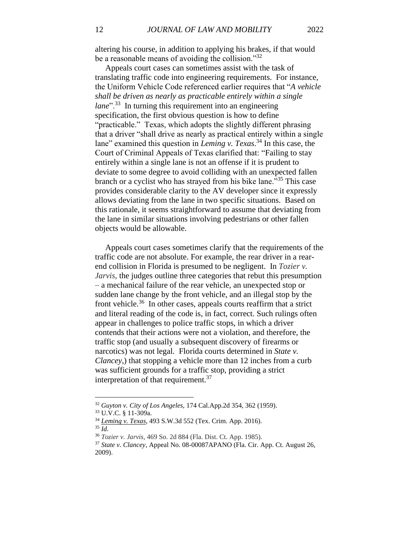altering his course, in addition to applying his brakes, if that would be a reasonable means of avoiding the collision."<sup>32</sup>

 Appeals court cases can sometimes assist with the task of translating traffic code into engineering requirements. For instance, the Uniform Vehicle Code referenced earlier requires that "*A vehicle shall be driven as nearly as practicable entirely within a single lane*"<sup>33</sup> In turning this requirement into an engineering specification, the first obvious question is how to define "practicable." Texas, which adopts the slightly different phrasing that a driver "shall drive as nearly as practical entirely within a single lane" examined this question in *Leming v. Texas*. <sup>34</sup> In this case, the Court of Criminal Appeals of Texas clarified that: "Failing to stay entirely within a single lane is not an offense if it is prudent to deviate to some degree to avoid colliding with an unexpected fallen branch or a cyclist who has strayed from his bike lane."<sup>35</sup> This case provides considerable clarity to the AV developer since it expressly allows deviating from the lane in two specific situations. Based on this rationale, it seems straightforward to assume that deviating from the lane in similar situations involving pedestrians or other fallen objects would be allowable.

 Appeals court cases sometimes clarify that the requirements of the traffic code are not absolute. For example, the rear driver in a rearend collision in Florida is presumed to be negligent. In *Tozier v. Jarvis*, the judges outline three categories that rebut this presumption – a mechanical failure of the rear vehicle, an unexpected stop or sudden lane change by the front vehicle, and an illegal stop by the front vehicle.<sup>36</sup> In other cases, appeals courts reaffirm that a strict and literal reading of the code is, in fact, correct. Such rulings often appear in challenges to police traffic stops, in which a driver contends that their actions were not a violation, and therefore, the traffic stop (and usually a subsequent discovery of firearms or narcotics) was not legal. Florida courts determined in *State v. Clancey*,) that stopping a vehicle more than 12 inches from a curb was sufficient grounds for a traffic stop, providing a strict interpretation of that requirement.<sup>37</sup>

<sup>32</sup> *Guyton v. City of Los Angeles*, 174 Cal.App.2d 354, 362 (1959).

<sup>33</sup> U.V.C. § 11-309a.

<sup>34</sup> *Leming v. Texas*, 493 S.W.3d 552 (Tex. Crim. App. 2016). <sup>35</sup> *Id.*

<sup>36</sup> *Tozier v. Jarvis*, 469 So. 2d 884 (Fla. Dist. Ct. App. 1985).

<sup>37</sup> *State v. Clancey*, Appeal No. 08-00087APANO (Fla. Cir. App. Ct. August 26, 2009).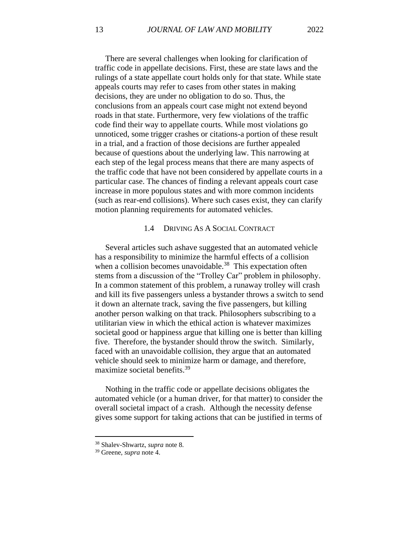There are several challenges when looking for clarification of traffic code in appellate decisions. First, these are state laws and the rulings of a state appellate court holds only for that state. While state appeals courts may refer to cases from other states in making decisions, they are under no obligation to do so. Thus, the conclusions from an appeals court case might not extend beyond roads in that state. Furthermore, very few violations of the traffic code find their way to appellate courts. While most violations go unnoticed, some trigger crashes or citations-a portion of these result in a trial, and a fraction of those decisions are further appealed because of questions about the underlying law. This narrowing at each step of the legal process means that there are many aspects of the traffic code that have not been considered by appellate courts in a particular case. The chances of finding a relevant appeals court case increase in more populous states and with more common incidents (such as rear-end collisions). Where such cases exist, they can clarify motion planning requirements for automated vehicles.

#### 1.4 DRIVING AS A SOCIAL CONTRACT

 Several articles such ashave suggested that an automated vehicle has a responsibility to minimize the harmful effects of a collision when a collision becomes unavoidable.<sup>38</sup> This expectation often stems from a discussion of the "Trolley Car" problem in philosophy. In a common statement of this problem, a runaway trolley will crash and kill its five passengers unless a bystander throws a switch to send it down an alternate track, saving the five passengers, but killing another person walking on that track. Philosophers subscribing to a utilitarian view in which the ethical action is whatever maximizes societal good or happiness argue that killing one is better than killing five. Therefore, the bystander should throw the switch. Similarly, faced with an unavoidable collision, they argue that an automated vehicle should seek to minimize harm or damage, and therefore, maximize societal benefits.<sup>39</sup>

 Nothing in the traffic code or appellate decisions obligates the automated vehicle (or a human driver, for that matter) to consider the overall societal impact of a crash. Although the necessity defense gives some support for taking actions that can be justified in terms of

<sup>38</sup> Shalev-Shwartz, *supra* note [8.](#page-5-0)

<sup>39</sup> Greene, *supra* note [4.](#page-4-1)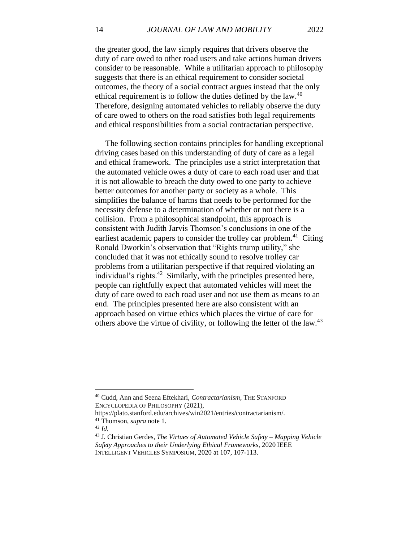the greater good, the law simply requires that drivers observe the duty of care owed to other road users and take actions human drivers consider to be reasonable. While a utilitarian approach to philosophy suggests that there is an ethical requirement to consider societal outcomes, the theory of a social contract argues instead that the only ethical requirement is to follow the duties defined by the law.<sup>40</sup> Therefore, designing automated vehicles to reliably observe the duty of care owed to others on the road satisfies both legal requirements and ethical responsibilities from a social contractarian perspective.

 The following section contains principles for handling exceptional driving cases based on this understanding of duty of care as a legal and ethical framework. The principles use a strict interpretation that the automated vehicle owes a duty of care to each road user and that it is not allowable to breach the duty owed to one party to achieve better outcomes for another party or society as a whole. This simplifies the balance of harms that needs to be performed for the necessity defense to a determination of whether or not there is a collision. From a philosophical standpoint, this approach is consistent with Judith Jarvis Thomson's conclusions in one of the earliest academic papers to consider the trolley car problem.<sup>41</sup> Citing Ronald Dworkin's observation that "Rights trump utility," she concluded that it was not ethically sound to resolve trolley car problems from a utilitarian perspective if that required violating an individual's rights. $42$  Similarly, with the principles presented here, people can rightfully expect that automated vehicles will meet the duty of care owed to each road user and not use them as means to an end. The principles presented here are also consistent with an approach based on virtue ethics which places the virtue of care for others above the virtue of civility, or following the letter of the law.<sup>43</sup>

<sup>40</sup> Cudd, Ann and Seena Eftekhari, *Contractarianism*, THE STANFORD ENCYCLOPEDIA OF PHILOSOPHY (2021),

https://plato.stanford.edu/archives/win2021/entries/contractarianism/.

<sup>41</sup> Thomson, *supra* not[e 1.](#page-4-2)

<sup>42</sup> *Id.*

<sup>43</sup> J. Christian Gerdes, *The Virtues of Automated Vehicle Safety – Mapping Vehicle Safety Approaches to their Underlying Ethical Frameworks*, 2020 IEEE INTELLIGENT VEHICLES SYMPOSIUM, 2020 at 107, 107-113.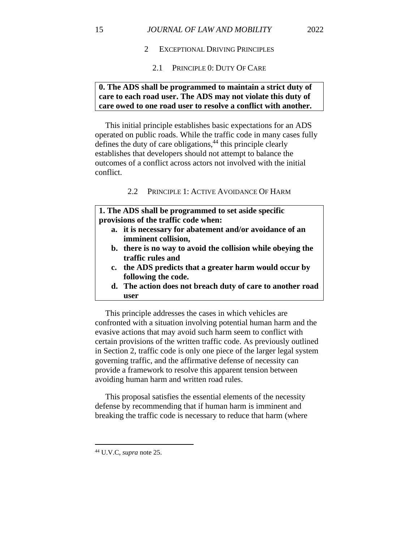- 2 EXCEPTIONAL DRIVING PRINCIPLES
	- 2.1 PRINCIPLE 0: DUTY OF CARE

## **0. The ADS shall be programmed to maintain a strict duty of care to each road user. The ADS may not violate this duty of care owed to one road user to resolve a conflict with another.**

 This initial principle establishes basic expectations for an ADS operated on public roads. While the traffic code in many cases fully defines the duty of care obligations,<sup>44</sup> this principle clearly establishes that developers should not attempt to balance the outcomes of a conflict across actors not involved with the initial conflict.

## 2.2 PRINCIPLE 1: ACTIVE AVOIDANCE OF HARM

**1. The ADS shall be programmed to set aside specific provisions of the traffic code when:**

- **a. it is necessary for abatement and/or avoidance of an imminent collision,**
- **b. there is no way to avoid the collision while obeying the traffic rules and**
- **c. the ADS predicts that a greater harm would occur by following the code.**
- **d. The action does not breach duty of care to another road user**

 This principle addresses the cases in which vehicles are confronted with a situation involving potential human harm and the evasive actions that may avoid such harm seem to conflict with certain provisions of the written traffic code. As previously outlined in Section 2, traffic code is only one piece of the larger legal system governing traffic, and the affirmative defense of necessity can provide a framework to resolve this apparent tension between avoiding human harm and written road rules.

 This proposal satisfies the essential elements of the necessity defense by recommending that if human harm is imminent and breaking the traffic code is necessary to reduce that harm (where

<sup>44</sup> U.V.C, *supra* note [25.](#page-9-1)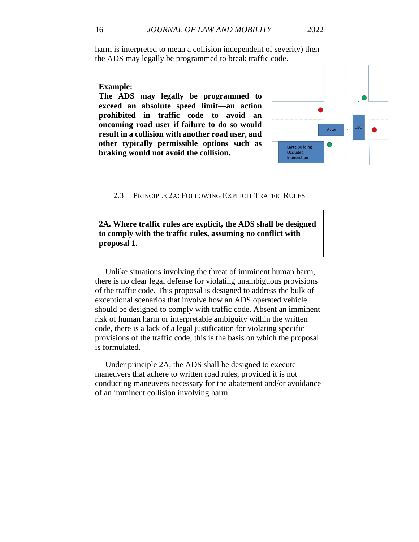harm is interpreted to mean a collision independent of severity) then the ADS may legally be programmed to break traffic code.

## **Example:**

**The ADS may legally be programmed to exceed an absolute speed limit—an action prohibited in traffic code—to avoid an oncoming road user if failure to do so would result in a collision with another road user, and other typically permissible options such as braking would not avoid the collision.**



2.3 PRINCIPLE 2A: FOLLOWING EXPLICIT TRAFFIC RULES

**2A. Where traffic rules are explicit, the ADS shall be designed to comply with the traffic rules, assuming no conflict with proposal 1.** 

 Unlike situations involving the threat of imminent human harm, there is no clear legal defense for violating unambiguous provisions of the traffic code. This proposal is designed to address the bulk of exceptional scenarios that involve how an ADS operated vehicle should be designed to comply with traffic code. Absent an imminent risk of human harm or interpretable ambiguity within the written code, there is a lack of a legal justification for violating specific provisions of the traffic code; this is the basis on which the proposal is formulated.

 Under principle 2A, the ADS shall be designed to execute maneuvers that adhere to written road rules, provided it is not conducting maneuvers necessary for the abatement and/or avoidance of an imminent collision involving harm.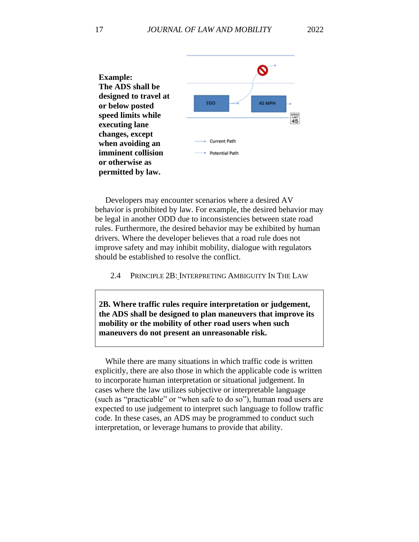

 Developers may encounter scenarios where a desired AV behavior is prohibited by law. For example, the desired behavior may be legal in another ODD due to inconsistencies between state road rules. Furthermore, the desired behavior may be exhibited by human drivers. Where the developer believes that a road rule does not improve safety and may inhibit mobility, dialogue with regulators should be established to resolve the conflict.

2.4 PRINCIPLE 2B: INTERPRETING AMBIGUITY IN THE LAW

**2B. Where traffic rules require interpretation or judgement, the ADS shall be designed to plan maneuvers that improve its mobility or the mobility of other road users when such maneuvers do not present an unreasonable risk.**

 While there are many situations in which traffic code is written explicitly, there are also those in which the applicable code is written to incorporate human interpretation or situational judgement. In cases where the law utilizes subjective or interpretable language (such as "practicable" or "when safe to do so"), human road users are expected to use judgement to interpret such language to follow traffic code. In these cases, an ADS may be programmed to conduct such interpretation, or leverage humans to provide that ability.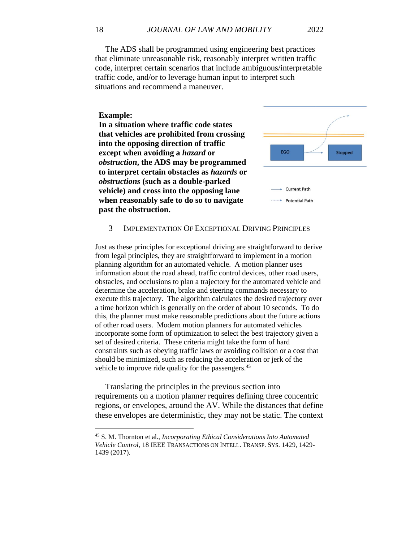The ADS shall be programmed using engineering best practices that eliminate unreasonable risk, reasonably interpret written traffic code, interpret certain scenarios that include ambiguous/interpretable traffic code, and/or to leverage human input to interpret such situations and recommend a maneuver.

#### **Example:**

**In a situation where traffic code states that vehicles are prohibited from crossing into the opposing direction of traffic except when avoiding a** *hazard* **or**  *obstruction***, the ADS may be programmed to interpret certain obstacles as** *hazards* **or**  *obstructions* **(such as a double-parked vehicle) and cross into the opposing lane when reasonably safe to do so to navigate past the obstruction.**



#### 3 IMPLEMENTATION OF EXCEPTIONAL DRIVING PRINCIPLES

Just as these principles for exceptional driving are straightforward to derive from legal principles, they are straightforward to implement in a motion planning algorithm for an automated vehicle. A motion planner uses information about the road ahead, traffic control devices, other road users, obstacles, and occlusions to plan a trajectory for the automated vehicle and determine the acceleration, brake and steering commands necessary to execute this trajectory. The algorithm calculates the desired trajectory over a time horizon which is generally on the order of about 10 seconds. To do this, the planner must make reasonable predictions about the future actions of other road users. Modern motion planners for automated vehicles incorporate some form of optimization to select the best trajectory given a set of desired criteria. These criteria might take the form of hard constraints such as obeying traffic laws or avoiding collision or a cost that should be minimized, such as reducing the acceleration or jerk of the vehicle to improve ride quality for the passengers.<sup>45</sup>

 Translating the principles in the previous section into requirements on a motion planner requires defining three concentric regions, or envelopes, around the AV. While the distances that define these envelopes are deterministic, they may not be static. The context

<sup>45</sup> S. M. Thornton et al., *Incorporating Ethical Considerations Into Automated Vehicle Control*, 18 IEEE TRANSACTIONS ON INTELL. TRANSP. SYS. 1429, 1429- 1439 (2017).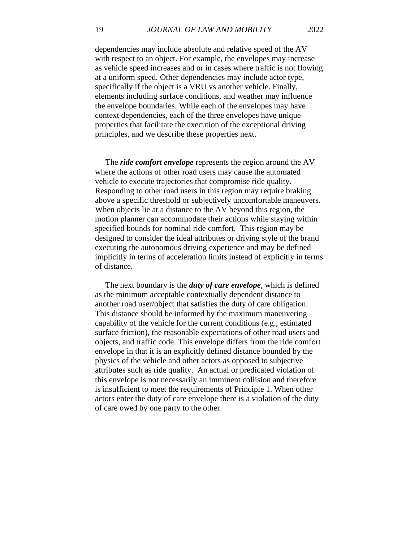dependencies may include absolute and relative speed of the AV with respect to an object. For example, the envelopes may increase as vehicle speed increases and or in cases where traffic is not flowing at a uniform speed. Other dependencies may include actor type, specifically if the object is a VRU vs another vehicle. Finally, elements including surface conditions, and weather may influence the envelope boundaries. While each of the envelopes may have context dependencies, each of the three envelopes have unique properties that facilitate the execution of the exceptional driving principles, and we describe these properties next.

 The *ride comfort envelope* represents the region around the AV where the actions of other road users may cause the automated vehicle to execute trajectories that compromise ride quality. Responding to other road users in this region may require braking above a specific threshold or subjectively uncomfortable maneuvers. When objects lie at a distance to the AV beyond this region, the motion planner can accommodate their actions while staying within specified bounds for nominal ride comfort. This region may be designed to consider the ideal attributes or driving style of the brand executing the autonomous driving experience and may be defined implicitly in terms of acceleration limits instead of explicitly in terms of distance.

 The next boundary is the *duty of care envelope*, which is defined as the minimum acceptable contextually dependent distance to another road user/object that satisfies the duty of care obligation. This distance should be informed by the maximum maneuvering capability of the vehicle for the current conditions (e.g., estimated surface friction), the reasonable expectations of other road users and objects, and traffic code. This envelope differs from the ride comfort envelope in that it is an explicitly defined distance bounded by the physics of the vehicle and other actors as opposed to subjective attributes such as ride quality. An actual or predicated violation of this envelope is not necessarily an imminent collision and therefore is insufficient to meet the requirements of Principle 1. When other actors enter the duty of care envelope there is a violation of the duty of care owed by one party to the other.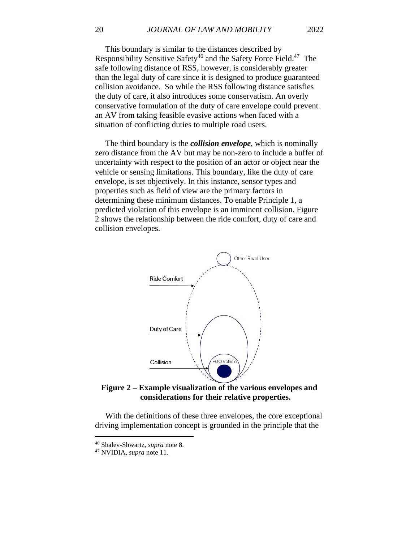This boundary is similar to the distances described by Responsibility Sensitive Safety<sup>46</sup> and the Safety Force Field.<sup>47</sup> The safe following distance of RSS, however, is considerably greater than the legal duty of care since it is designed to produce guaranteed collision avoidance. So while the RSS following distance satisfies the duty of care, it also introduces some conservatism. An overly conservative formulation of the duty of care envelope could prevent an AV from taking feasible evasive actions when faced with a situation of conflicting duties to multiple road users.

 The third boundary is the *collision envelope*, which is nominally zero distance from the AV but may be non-zero to include a buffer of uncertainty with respect to the position of an actor or object near the vehicle or sensing limitations. This boundary, like the duty of care envelope, is set objectively. In this instance, sensor types and properties such as field of view are the primary factors in determining these minimum distances. To enable Principle 1, a predicted violation of this envelope is an imminent collision. Figure 2 shows the relationship between the ride comfort, duty of care and collision envelopes.



**Figure 2 – Example visualization of the various envelopes and considerations for their relative properties.**

 With the definitions of these three envelopes, the core exceptional driving implementation concept is grounded in the principle that the

<sup>46</sup> Shalev-Shwartz, *supra* note [8.](#page-5-0)

<sup>47</sup> NVIDIA, *supra* not[e 11.](#page-5-1)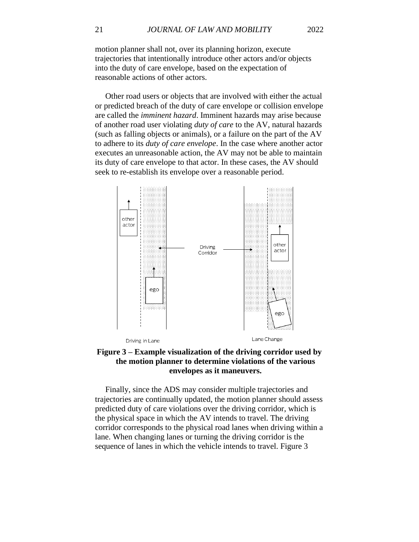motion planner shall not, over its planning horizon, execute trajectories that intentionally introduce other actors and/or objects into the duty of care envelope, based on the expectation of reasonable actions of other actors.

 Other road users or objects that are involved with either the actual or predicted breach of the duty of care envelope or collision envelope are called the *imminent hazard*. Imminent hazards may arise because of another road user violating *duty of care* to the AV, natural hazards (such as falling objects or animals), or a failure on the part of the AV to adhere to its *duty of care envelope*. In the case where another actor executes an unreasonable action, the AV may not be able to maintain its duty of care envelope to that actor. In these cases, the AV should seek to re-establish its envelope over a reasonable period.



## **Figure 3 – Example visualization of the driving corridor used by the motion planner to determine violations of the various envelopes as it maneuvers.**

 Finally, since the ADS may consider multiple trajectories and trajectories are continually updated, the motion planner should assess predicted duty of care violations over the driving corridor, which is the physical space in which the AV intends to travel. The driving corridor corresponds to the physical road lanes when driving within a lane. When changing lanes or turning the driving corridor is the sequence of lanes in which the vehicle intends to travel. Figure 3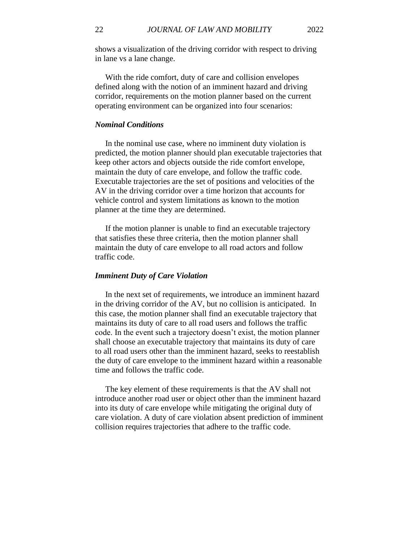shows a visualization of the driving corridor with respect to driving in lane vs a lane change.

 With the ride comfort, duty of care and collision envelopes defined along with the notion of an imminent hazard and driving corridor, requirements on the motion planner based on the current operating environment can be organized into four scenarios:

#### *Nominal Conditions*

 In the nominal use case, where no imminent duty violation is predicted, the motion planner should plan executable trajectories that keep other actors and objects outside the ride comfort envelope, maintain the duty of care envelope, and follow the traffic code. Executable trajectories are the set of positions and velocities of the AV in the driving corridor over a time horizon that accounts for vehicle control and system limitations as known to the motion planner at the time they are determined.

 If the motion planner is unable to find an executable trajectory that satisfies these three criteria, then the motion planner shall maintain the duty of care envelope to all road actors and follow traffic code.

#### *Imminent Duty of Care Violation*

 In the next set of requirements, we introduce an imminent hazard in the driving corridor of the AV, but no collision is anticipated. In this case, the motion planner shall find an executable trajectory that maintains its duty of care to all road users and follows the traffic code. In the event such a trajectory doesn't exist, the motion planner shall choose an executable trajectory that maintains its duty of care to all road users other than the imminent hazard, seeks to reestablish the duty of care envelope to the imminent hazard within a reasonable time and follows the traffic code.

 The key element of these requirements is that the AV shall not introduce another road user or object other than the imminent hazard into its duty of care envelope while mitigating the original duty of care violation. A duty of care violation absent prediction of imminent collision requires trajectories that adhere to the traffic code.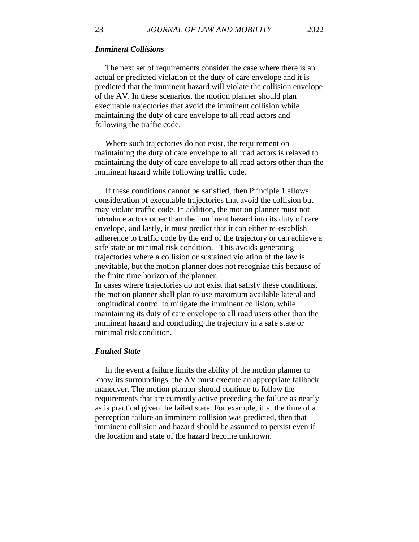The next set of requirements consider the case where there is an actual or predicted violation of the duty of care envelope and it is predicted that the imminent hazard will violate the collision envelope of the AV. In these scenarios, the motion planner should plan executable trajectories that avoid the imminent collision while maintaining the duty of care envelope to all road actors and following the traffic code.

 Where such trajectories do not exist, the requirement on maintaining the duty of care envelope to all road actors is relaxed to maintaining the duty of care envelope to all road actors other than the imminent hazard while following traffic code.

 If these conditions cannot be satisfied, then Principle 1 allows consideration of executable trajectories that avoid the collision but may violate traffic code. In addition, the motion planner must not introduce actors other than the imminent hazard into its duty of care envelope, and lastly, it must predict that it can either re-establish adherence to traffic code by the end of the trajectory or can achieve a safe state or minimal risk condition. This avoids generating trajectories where a collision or sustained violation of the law is inevitable, but the motion planner does not recognize this because of the finite time horizon of the planner.

In cases where trajectories do not exist that satisfy these conditions, the motion planner shall plan to use maximum available lateral and longitudinal control to mitigate the imminent collision, while maintaining its duty of care envelope to all road users other than the imminent hazard and concluding the trajectory in a safe state or minimal risk condition.

#### *Faulted State*

 In the event a failure limits the ability of the motion planner to know its surroundings, the AV must execute an appropriate fallback maneuver. The motion planner should continue to follow the requirements that are currently active preceding the failure as nearly as is practical given the failed state. For example, if at the time of a perception failure an imminent collision was predicted, then that imminent collision and hazard should be assumed to persist even if the location and state of the hazard become unknown.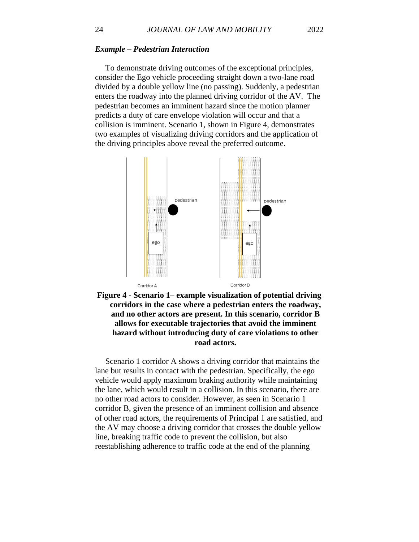#### *Example – Pedestrian Interaction*

 To demonstrate driving outcomes of the exceptional principles, consider the Ego vehicle proceeding straight down a two-lane road divided by a double yellow line (no passing). Suddenly, a pedestrian enters the roadway into the planned driving corridor of the AV. The pedestrian becomes an imminent hazard since the motion planner predicts a duty of care envelope violation will occur and that a collision is imminent. Scenario 1, shown in Figure 4, demonstrates two examples of visualizing driving corridors and the application of the driving principles above reveal the preferred outcome.





 Scenario 1 corridor A shows a driving corridor that maintains the lane but results in contact with the pedestrian. Specifically, the ego vehicle would apply maximum braking authority while maintaining the lane, which would result in a collision. In this scenario, there are no other road actors to consider. However, as seen in Scenario 1 corridor B, given the presence of an imminent collision and absence of other road actors, the requirements of Principal 1 are satisfied, and the AV may choose a driving corridor that crosses the double yellow line, breaking traffic code to prevent the collision, but also reestablishing adherence to traffic code at the end of the planning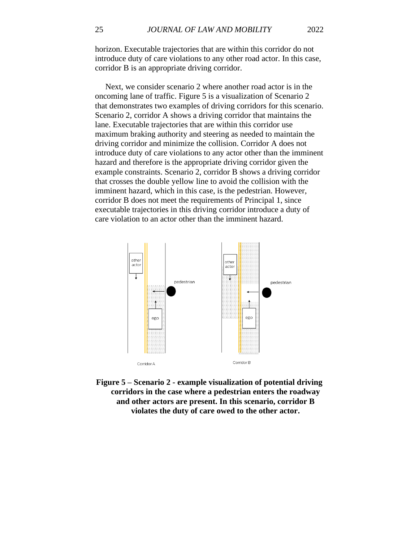horizon. Executable trajectories that are within this corridor do not introduce duty of care violations to any other road actor. In this case, corridor B is an appropriate driving corridor.

 Next, we consider scenario 2 where another road actor is in the oncoming lane of traffic. Figure 5 is a visualization of Scenario 2 that demonstrates two examples of driving corridors for this scenario. Scenario 2, corridor A shows a driving corridor that maintains the lane. Executable trajectories that are within this corridor use maximum braking authority and steering as needed to maintain the driving corridor and minimize the collision. Corridor A does not introduce duty of care violations to any actor other than the imminent hazard and therefore is the appropriate driving corridor given the example constraints. Scenario 2, corridor B shows a driving corridor that crosses the double yellow line to avoid the collision with the imminent hazard, which in this case, is the pedestrian. However, corridor B does not meet the requirements of Principal 1, since executable trajectories in this driving corridor introduce a duty of care violation to an actor other than the imminent hazard.



**Figure 5 – Scenario 2 - example visualization of potential driving corridors in the case where a pedestrian enters the roadway and other actors are present. In this scenario, corridor B violates the duty of care owed to the other actor.**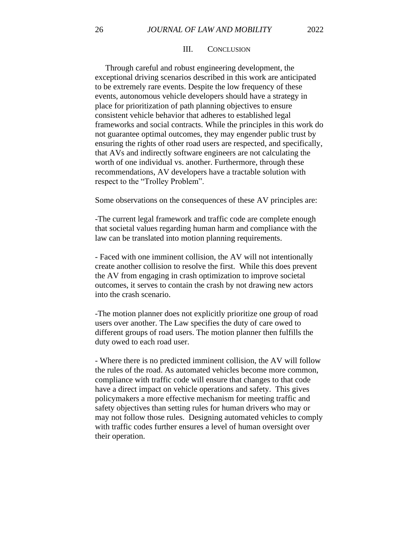#### III. CONCLUSION

 Through careful and robust engineering development, the exceptional driving scenarios described in this work are anticipated to be extremely rare events. Despite the low frequency of these events, autonomous vehicle developers should have a strategy in place for prioritization of path planning objectives to ensure consistent vehicle behavior that adheres to established legal frameworks and social contracts. While the principles in this work do not guarantee optimal outcomes, they may engender public trust by ensuring the rights of other road users are respected, and specifically, that AVs and indirectly software engineers are not calculating the worth of one individual vs. another. Furthermore, through these recommendations, AV developers have a tractable solution with respect to the "Trolley Problem".

Some observations on the consequences of these AV principles are:

-The current legal framework and traffic code are complete enough that societal values regarding human harm and compliance with the law can be translated into motion planning requirements.

- Faced with one imminent collision, the AV will not intentionally create another collision to resolve the first. While this does prevent the AV from engaging in crash optimization to improve societal outcomes, it serves to contain the crash by not drawing new actors into the crash scenario.

-The motion planner does not explicitly prioritize one group of road users over another. The Law specifies the duty of care owed to different groups of road users. The motion planner then fulfills the duty owed to each road user.

- Where there is no predicted imminent collision, the AV will follow the rules of the road. As automated vehicles become more common, compliance with traffic code will ensure that changes to that code have a direct impact on vehicle operations and safety. This gives policymakers a more effective mechanism for meeting traffic and safety objectives than setting rules for human drivers who may or may not follow those rules. Designing automated vehicles to comply with traffic codes further ensures a level of human oversight over their operation.